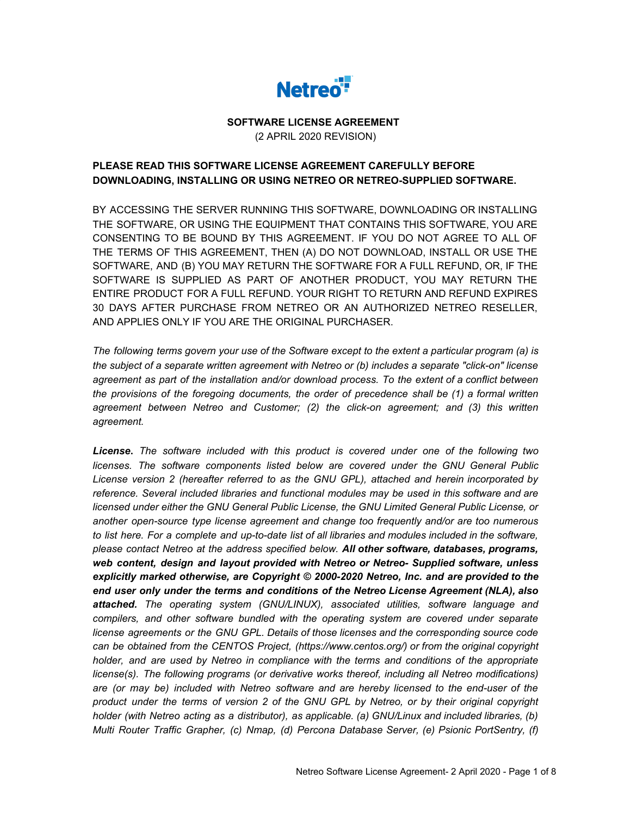

# **SOFTWARE LICENSE AGREEMENT** (2 APRIL 2020 REVISION)

# **PLEASE READ THIS SOFTWARE LICENSE AGREEMENT CAREFULLY BEFORE DOWNLOADING, INSTALLING OR USING NETREO OR NETREO-SUPPLIED SOFTWARE.**

BY ACCESSING THE SERVER RUNNING THIS SOFTWARE, DOWNLOADING OR INSTALLING THE SOFTWARE, OR USING THE EQUIPMENT THAT CONTAINS THIS SOFTWARE, YOU ARE CONSENTING TO BE BOUND BY THIS AGREEMENT. IF YOU DO NOT AGREE TO ALL OF THE TERMS OF THIS AGREEMENT, THEN (A) DO NOT DOWNLOAD, INSTALL OR USE THE SOFTWARE, AND (B) YOU MAY RETURN THE SOFTWARE FOR A FULL REFUND, OR, IF THE SOFTWARE IS SUPPLIED AS PART OF ANOTHER PRODUCT, YOU MAY RETURN THE ENTIRE PRODUCT FOR A FULL REFUND. YOUR RIGHT TO RETURN AND REFUND EXPIRES 30 DAYS AFTER PURCHASE FROM NETREO OR AN AUTHORIZED NETREO RESELLER, AND APPLIES ONLY IF YOU ARE THE ORIGINAL PURCHASER.

The following terms govern your use of the Software except to the extent a particular program (a) is *the subject of a separate written agreement with Netreo or (b) includes a separate "click-on" license agreement as part of the installation and/or download process. To the extent of a conflict between the provisions of the foregoing documents, the order of precedence shall be (1) a formal written agreement between Netreo and Customer; (2) the click-on agreement; and (3) this written agreement.*

*License***.** *The software included with this product is covered under one of the following two licenses. The software components listed below are covered under the GNU General Public License version 2 (hereafter referred to as the GNU GPL), attached and herein incorporated by reference. Several included libraries and functional modules may be used in this software and are licensed under either the GNU General Public License, the GNU Limited General Public License, or another open-source type license agreement and change too frequently and/or are too numerous* to list here. For a complete and up-to-date list of all libraries and modules included in the software, *please contact Netreo at the address specified below. All other software, databases, programs, web content, design and layout provided with Netreo or Netreo- Supplied software, unless explicitly marked otherwise, are Copyright © 2000-2020 Netreo, Inc. and are provided to the end user only under the terms and conditions of the Netreo License Agreement (NLA), also attached. The operating system (GNU/LINUX), associated utilities, software language and compilers, and other software bundled with the operating system are covered under separate license agreements or the GNU GPL. Details of those licenses and the corresponding source code can be obtained from the CENTOS Project, (https://www.centos.org/) or from the original copyright holder, and are used by Netreo in compliance with the terms and conditions of the appropriate license(s). The following programs (or derivative works thereof, including all Netreo modifications) are (or may be) included with Netreo software and are hereby licensed to the end-user of the product under the terms of version 2 of the GNU GPL by Netreo, or by their original copyright holder (with Netreo acting as a distributor), as applicable. (a) GNU/Linux and included libraries, (b) Multi Router Traffic Grapher, (c) Nmap, (d) Percona Database Server, (e) Psionic PortSentry, (f)*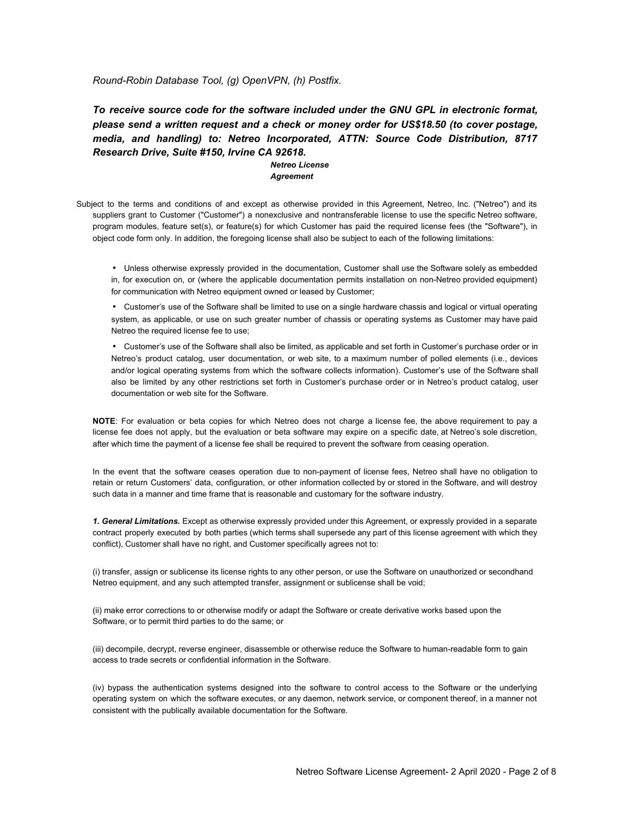*Round-Robin Database Tool, (g) OpenVPN, (h) Postfix.*

*To receive source code for the software included under the GNU GPL in electronic format, please send a written request and a check or money order for US\$18.50 (to cover postage, media, and handling) to: Netreo Incorporated, ATTN: Source Code Distribution, 8717 Research Drive, Suite #150, Irvine CA 92618.*

### *Netreo License Agreement*

Subject to the terms and conditions of and except as otherwise provided in this Agreement, Netreo, Inc. ("Netreo") and its suppliers grant to Customer ("Customer") a nonexclusive and nontransferable license to use the specific Netreo software, program modules, feature set(s), or feature(s) for which Customer has paid the required license fees (the "Software"), in object code form only. In addition, the foregoing license shall also be subject to each of the following limitations:

• Unless otherwise expressly provided in the documentation, Customer shall use the Software solely as embedded in, for execution on, or (where the applicable documentation permits installation on non-Netreo provided equipment) for communication with Netreo equipment owned or leased by Customer;

• Customer's use of the Software shall be limited to use on a single hardware chassis and logical or virtual operating system, as applicable, or use on such greater number of chassis or operating systems as Customer may have paid Netreo the required license fee to use;

• Customer's use of the Software shall also be limited, as applicable and set forth in Customer's purchase order or in Netreo's product catalog, user documentation, or web site, to a maximum number of polled elements (i.e., devices and/or logical operating systems from which the software collects information). Customer's use of the Software shall also be limited by any other restrictions set forth in Customer's purchase order or in Netreo's product catalog, user documentation or web site for the Software.

**NOTE**: For evaluation or beta copies for which Netreo does not charge a license fee, the above requirement to pay a license fee does not apply, but the evaluation or beta software may expire on a specific date, at Netreo's sole discretion, after which time the payment of a license fee shall be required to prevent the software from ceasing operation.

In the event that the software ceases operation due to non-payment of license fees, Netreo shall have no obligation to retain or return Customers' data, configuration, or other information collected by or stored in the Software, and will destroy such data in a manner and time frame that is reasonable and customary for the software industry.

*1. General Limitations.* Except as otherwise expressly provided under this Agreement, or expressly provided in a separate contract properly executed by both parties (which terms shall supersede any part of this license agreement with which they conflict), Customer shall have no right, and Customer specifically agrees not to:

(i) transfer, assign or sublicense its license rights to any other person, or use the Software on unauthorized or secondhand Netreo equipment, and any such attempted transfer, assignment or sublicense shall be void;

(ii) make error corrections to or otherwise modify or adapt the Software or create derivative works based upon the Software, or to permit third parties to do the same; or

(iii) decompile, decrypt, reverse engineer, disassemble or otherwise reduce the Software to human-readable form to gain access to trade secrets or confidential information in the Software.

(iv) bypass the authentication systems designed into the software to control access to the Software or the underlying operating system on which the software executes, or any daemon, network service, or component thereof, in a manner not consistent with the publically available documentation for the Software.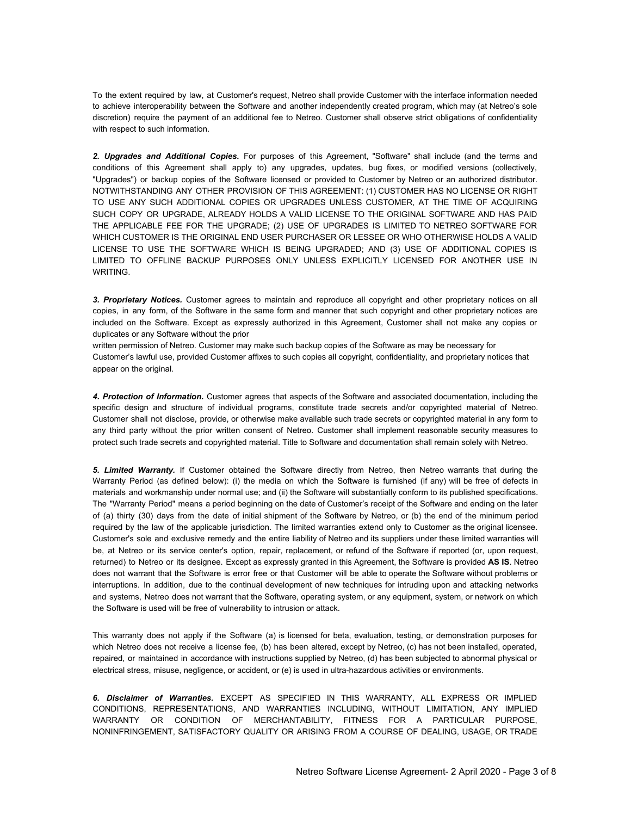To the extent required by law, at Customer's request, Netreo shall provide Customer with the interface information needed to achieve interoperability between the Software and another independently created program, which may (at Netreo's sole discretion) require the payment of an additional fee to Netreo. Customer shall observe strict obligations of confidentiality with respect to such information.

*2. Upgrades and Additional Copies.* For purposes of this Agreement, "Software" shall include (and the terms and conditions of this Agreement shall apply to) any upgrades, updates, bug fixes, or modified versions (collectively, "Upgrades") or backup copies of the Software licensed or provided to Customer by Netreo or an authorized distributor. NOTWITHSTANDING ANY OTHER PROVISION OF THIS AGREEMENT: (1) CUSTOMER HAS NO LICENSE OR RIGHT TO USE ANY SUCH ADDITIONAL COPIES OR UPGRADES UNLESS CUSTOMER, AT THE TIME OF ACQUIRING SUCH COPY OR UPGRADE, ALREADY HOLDS A VALID LICENSE TO THE ORIGINAL SOFTWARE AND HAS PAID THE APPLICABLE FEE FOR THE UPGRADE; (2) USE OF UPGRADES IS LIMITED TO NETREO SOFTWARE FOR WHICH CUSTOMER IS THE ORIGINAL END USER PURCHASER OR LESSEE OR WHO OTHERWISE HOLDS A VALID LICENSE TO USE THE SOFTWARE WHICH IS BEING UPGRADED; AND (3) USE OF ADDITIONAL COPIES IS LIMITED TO OFFLINE BACKUP PURPOSES ONLY UNLESS EXPLICITLY LICENSED FOR ANOTHER USE IN WRITING.

*3. Proprietary Notices.* Customer agrees to maintain and reproduce all copyright and other proprietary notices on all copies, in any form, of the Software in the same form and manner that such copyright and other proprietary notices are included on the Software. Except as expressly authorized in this Agreement, Customer shall not make any copies or duplicates or any Software without the prior

written permission of Netreo. Customer may make such backup copies of the Software as may be necessary for Customer's lawful use, provided Customer affixes to such copies all copyright, confidentiality, and proprietary notices that appear on the original.

*4. Protection of Information.* Customer agrees that aspects of the Software and associated documentation, including the specific design and structure of individual programs, constitute trade secrets and/or copyrighted material of Netreo. Customer shall not disclose, provide, or otherwise make available such trade secrets or copyrighted material in any form to any third party without the prior written consent of Netreo. Customer shall implement reasonable security measures to protect such trade secrets and copyrighted material. Title to Software and documentation shall remain solely with Netreo.

*5. Limited Warranty.* If Customer obtained the Software directly from Netreo, then Netreo warrants that during the Warranty Period (as defined below): (i) the media on which the Software is furnished (if any) will be free of defects in materials and workmanship under normal use; and (ii) the Software will substantially conform to its published specifications. The "Warranty Period" means a period beginning on the date of Customer's receipt of the Software and ending on the later of (a) thirty (30) days from the date of initial shipment of the Software by Netreo, or (b) the end of the minimum period required by the law of the applicable jurisdiction. The limited warranties extend only to Customer as the original licensee. Customer's sole and exclusive remedy and the entire liability of Netreo and its suppliers under these limited warranties will be, at Netreo or its service center's option, repair, replacement, or refund of the Software if reported (or, upon request, returned) to Netreo or its designee. Except as expressly granted in this Agreement, the Software is provided **AS IS**. Netreo does not warrant that the Software is error free or that Customer will be able to operate the Software without problems or interruptions. In addition, due to the continual development of new techniques for intruding upon and attacking networks and systems, Netreo does not warrant that the Software, operating system, or any equipment, system, or network on which the Software is used will be free of vulnerability to intrusion or attack.

This warranty does not apply if the Software (a) is licensed for beta, evaluation, testing, or demonstration purposes for which Netreo does not receive a license fee, (b) has been altered, except by Netreo, (c) has not been installed, operated, repaired, or maintained in accordance with instructions supplied by Netreo, (d) has been subjected to abnormal physical or electrical stress, misuse, negligence, or accident, or (e) is used in ultra-hazardous activities or environments.

*6. Disclaimer of Warranties.* EXCEPT AS SPECIFIED IN THIS WARRANTY, ALL EXPRESS OR IMPLIED CONDITIONS, REPRESENTATIONS, AND WARRANTIES INCLUDING, WITHOUT LIMITATION, ANY IMPLIED WARRANTY OR CONDITION OF MERCHANTABILITY, FITNESS FOR A PARTICULAR PURPOSE, NONINFRINGEMENT, SATISFACTORY QUALITY OR ARISING FROM A COURSE OF DEALING, USAGE, OR TRADE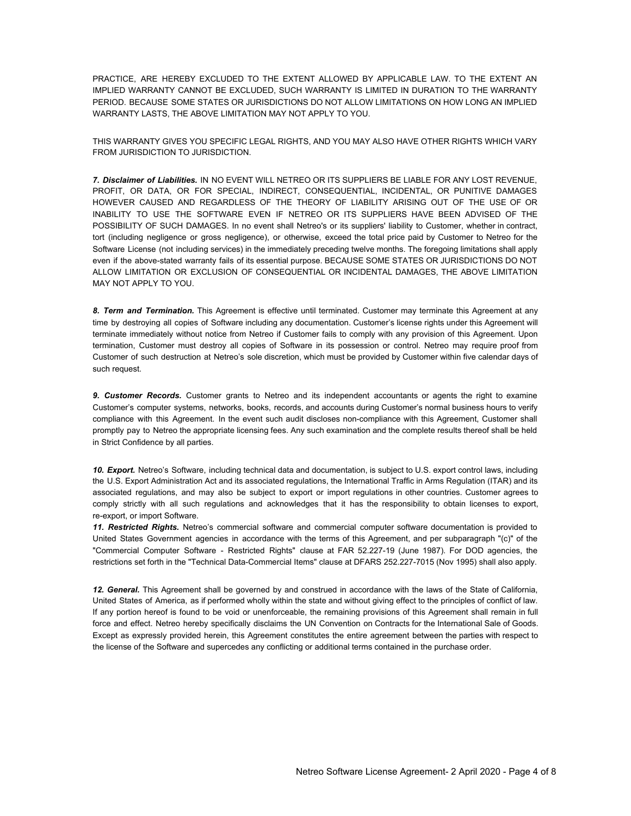PRACTICE, ARE HEREBY EXCLUDED TO THE EXTENT ALLOWED BY APPLICABLE LAW. TO THE EXTENT AN IMPLIED WARRANTY CANNOT BE EXCLUDED, SUCH WARRANTY IS LIMITED IN DURATION TO THE WARRANTY PERIOD. BECAUSE SOME STATES OR JURISDICTIONS DO NOT ALLOW LIMITATIONS ON HOW LONG AN IMPLIED WARRANTY LASTS, THE ABOVE LIMITATION MAY NOT APPLY TO YOU.

THIS WARRANTY GIVES YOU SPECIFIC LEGAL RIGHTS, AND YOU MAY ALSO HAVE OTHER RIGHTS WHICH VARY FROM JURISDICTION TO JURISDICTION.

*7. Disclaimer of Liabilities.* IN NO EVENT WILL NETREO OR ITS SUPPLIERS BE LIABLE FOR ANY LOST REVENUE, PROFIT, OR DATA, OR FOR SPECIAL, INDIRECT, CONSEQUENTIAL, INCIDENTAL, OR PUNITIVE DAMAGES HOWEVER CAUSED AND REGARDLESS OF THE THEORY OF LIABILITY ARISING OUT OF THE USE OF OR INABILITY TO USE THE SOFTWARE EVEN IF NETREO OR ITS SUPPLIERS HAVE BEEN ADVISED OF THE POSSIBILITY OF SUCH DAMAGES. In no event shall Netreo's or its suppliers' liability to Customer, whether in contract, tort (including negligence or gross negligence), or otherwise, exceed the total price paid by Customer to Netreo for the Software License (not including services) in the immediately preceding twelve months. The foregoing limitations shall apply even if the above-stated warranty fails of its essential purpose. BECAUSE SOME STATES OR JURISDICTIONS DO NOT ALLOW LIMITATION OR EXCLUSION OF CONSEQUENTIAL OR INCIDENTAL DAMAGES, THE ABOVE LIMITATION MAY NOT APPLY TO YOU.

*8. Term and Termination.* This Agreement is effective until terminated. Customer may terminate this Agreement at any time by destroying all copies of Software including any documentation. Customer's license rights under this Agreement will terminate immediately without notice from Netreo if Customer fails to comply with any provision of this Agreement. Upon termination, Customer must destroy all copies of Software in its possession or control. Netreo may require proof from Customer of such destruction at Netreo's sole discretion, which must be provided by Customer within five calendar days of such request.

*9. Customer Records.* Customer grants to Netreo and its independent accountants or agents the right to examine Customer's computer systems, networks, books, records, and accounts during Customer's normal business hours to verify compliance with this Agreement. In the event such audit discloses non-compliance with this Agreement, Customer shall promptly pay to Netreo the appropriate licensing fees. Any such examination and the complete results thereof shall be held in Strict Confidence by all parties.

*10. Export.* Netreo's Software, including technical data and documentation, is subject to U.S. export control laws, including the U.S. Export Administration Act and its associated regulations, the International Traffic in Arms Regulation (ITAR) and its associated regulations, and may also be subject to export or import regulations in other countries. Customer agrees to comply strictly with all such regulations and acknowledges that it has the responsibility to obtain licenses to export, re-export, or import Software.

*11. Restricted Rights.* Netreo's commercial software and commercial computer software documentation is provided to United States Government agencies in accordance with the terms of this Agreement, and per subparagraph "(c)" of the "Commercial Computer Software - Restricted Rights" clause at FAR 52.227-19 (June 1987). For DOD agencies, the restrictions set forth in the "Technical Data-Commercial Items" clause at DFARS 252.227-7015 (Nov 1995) shall also apply.

*12. General.* This Agreement shall be governed by and construed in accordance with the laws of the State of California, United States of America, as if performed wholly within the state and without giving effect to the principles of conflict of law. If any portion hereof is found to be void or unenforceable, the remaining provisions of this Agreement shall remain in full force and effect. Netreo hereby specifically disclaims the UN Convention on Contracts for the International Sale of Goods. Except as expressly provided herein, this Agreement constitutes the entire agreement between the parties with respect to the license of the Software and supercedes any conflicting or additional terms contained in the purchase order.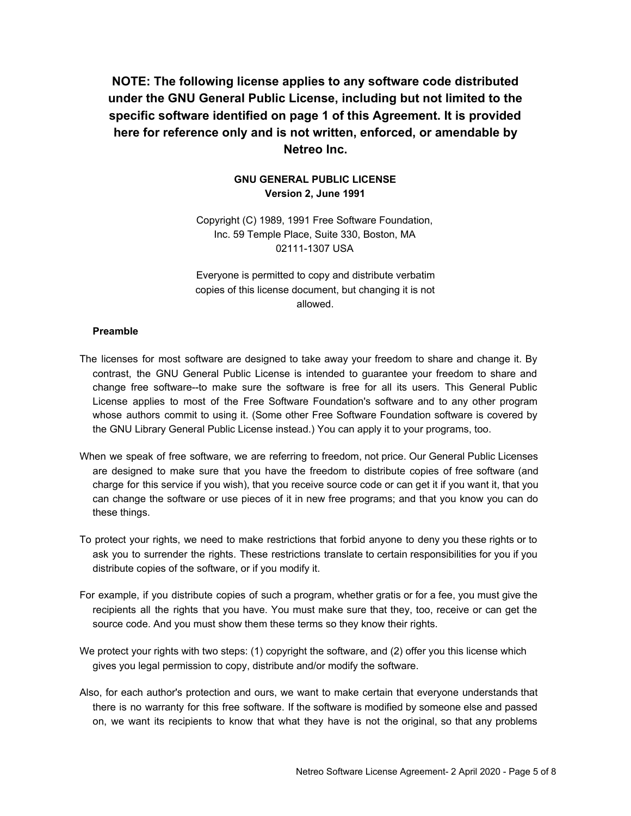**NOTE: The following license applies to any software code distributed under the GNU General Public License, including but not limited to the specific software identified on page 1 of this Agreement. It is provided here for reference only and is not written, enforced, or amendable by Netreo Inc.**

## **GNU GENERAL PUBLIC LICENSE Version 2, June 1991**

Copyright (C) 1989, 1991 Free Software Foundation, Inc. 59 Temple Place, Suite 330, Boston, MA 02111-1307 USA

Everyone is permitted to copy and distribute verbatim copies of this license document, but changing it is not allowed.

## **Preamble**

- The licenses for most software are designed to take away your freedom to share and change it. By contrast, the GNU General Public License is intended to guarantee your freedom to share and change free software--to make sure the software is free for all its users. This General Public License applies to most of the Free Software Foundation's software and to any other program whose authors commit to using it. (Some other Free Software Foundation software is covered by the GNU Library General Public License instead.) You can apply it to your programs, too.
- When we speak of free software, we are referring to freedom, not price. Our General Public Licenses are designed to make sure that you have the freedom to distribute copies of free software (and charge for this service if you wish), that you receive source code or can get it if you want it, that you can change the software or use pieces of it in new free programs; and that you know you can do these things.
- To protect your rights, we need to make restrictions that forbid anyone to deny you these rights or to ask you to surrender the rights. These restrictions translate to certain responsibilities for you if you distribute copies of the software, or if you modify it.
- For example, if you distribute copies of such a program, whether gratis or for a fee, you must give the recipients all the rights that you have. You must make sure that they, too, receive or can get the source code. And you must show them these terms so they know their rights.
- We protect your rights with two steps: (1) copyright the software, and (2) offer you this license which gives you legal permission to copy, distribute and/or modify the software.
- Also, for each author's protection and ours, we want to make certain that everyone understands that there is no warranty for this free software. If the software is modified by someone else and passed on, we want its recipients to know that what they have is not the original, so that any problems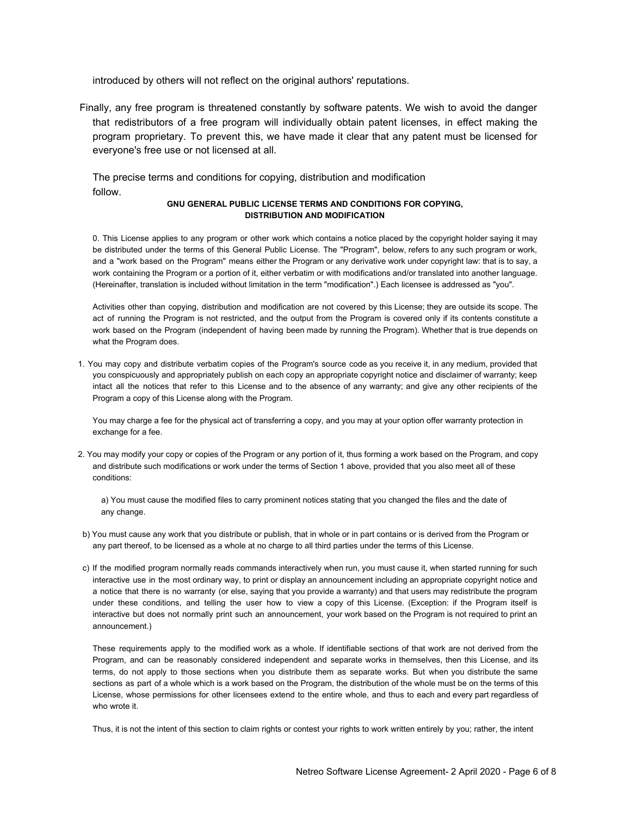introduced by others will not reflect on the original authors' reputations.

Finally, any free program is threatened constantly by software patents. We wish to avoid the danger that redistributors of a free program will individually obtain patent licenses, in effect making the program proprietary. To prevent this, we have made it clear that any patent must be licensed for everyone's free use or not licensed at all.

The precise terms and conditions for copying, distribution and modification follow.

### **GNU GENERAL PUBLIC LICENSE TERMS AND CONDITIONS FOR COPYING, DISTRIBUTION AND MODIFICATION**

0. This License applies to any program or other work which contains a notice placed by the copyright holder saying it may be distributed under the terms of this General Public License. The "Program", below, refers to any such program or work, and a "work based on the Program" means either the Program or any derivative work under copyright law: that is to say, a work containing the Program or a portion of it, either verbatim or with modifications and/or translated into another language. (Hereinafter, translation is included without limitation in the term "modification".) Each licensee is addressed as "you".

Activities other than copying, distribution and modification are not covered by this License; they are outside its scope. The act of running the Program is not restricted, and the output from the Program is covered only if its contents constitute a work based on the Program (independent of having been made by running the Program). Whether that is true depends on what the Program does.

1. You may copy and distribute verbatim copies of the Program's source code as you receive it, in any medium, provided that you conspicuously and appropriately publish on each copy an appropriate copyright notice and disclaimer of warranty; keep intact all the notices that refer to this License and to the absence of any warranty; and give any other recipients of the Program a copy of this License along with the Program.

You may charge a fee for the physical act of transferring a copy, and you may at your option offer warranty protection in exchange for a fee.

2. You may modify your copy or copies of the Program or any portion of it, thus forming a work based on the Program, and copy and distribute such modifications or work under the terms of Section 1 above, provided that you also meet all of these conditions:

a) You must cause the modified files to carry prominent notices stating that you changed the files and the date of any change.

- b) You must cause any work that you distribute or publish, that in whole or in part contains or is derived from the Program or any part thereof, to be licensed as a whole at no charge to all third parties under the terms of this License.
- c) If the modified program normally reads commands interactively when run, you must cause it, when started running for such interactive use in the most ordinary way, to print or display an announcement including an appropriate copyright notice and a notice that there is no warranty (or else, saying that you provide a warranty) and that users may redistribute the program under these conditions, and telling the user how to view a copy of this License. (Exception: if the Program itself is interactive but does not normally print such an announcement, your work based on the Program is not required to print an announcement.)

These requirements apply to the modified work as a whole. If identifiable sections of that work are not derived from the Program, and can be reasonably considered independent and separate works in themselves, then this License, and its terms, do not apply to those sections when you distribute them as separate works. But when you distribute the same sections as part of a whole which is a work based on the Program, the distribution of the whole must be on the terms of this License, whose permissions for other licensees extend to the entire whole, and thus to each and every part regardless of who wrote it.

Thus, it is not the intent of this section to claim rights or contest your rights to work written entirely by you; rather, the intent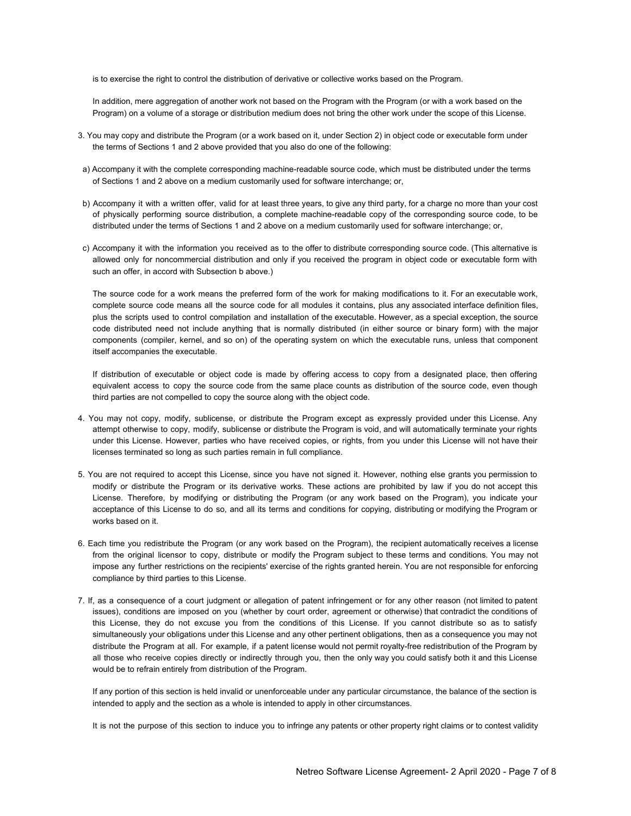is to exercise the right to control the distribution of derivative or collective works based on the Program.

In addition, mere aggregation of another work not based on the Program with the Program (or with a work based on the Program) on a volume of a storage or distribution medium does not bring the other work under the scope of this License.

- 3. You may copy and distribute the Program (or a work based on it, under Section 2) in object code or executable form under the terms of Sections 1 and 2 above provided that you also do one of the following:
- a) Accompany it with the complete corresponding machine-readable source code, which must be distributed under the terms of Sections 1 and 2 above on a medium customarily used for software interchange; or,
- b) Accompany it with a written offer, valid for at least three years, to give any third party, for a charge no more than your cost of physically performing source distribution, a complete machine-readable copy of the corresponding source code, to be distributed under the terms of Sections 1 and 2 above on a medium customarily used for software interchange; or,
- c) Accompany it with the information you received as to the offer to distribute corresponding source code. (This alternative is allowed only for noncommercial distribution and only if you received the program in object code or executable form with such an offer, in accord with Subsection b above.)

The source code for a work means the preferred form of the work for making modifications to it. For an executable work, complete source code means all the source code for all modules it contains, plus any associated interface definition files, plus the scripts used to control compilation and installation of the executable. However, as a special exception, the source code distributed need not include anything that is normally distributed (in either source or binary form) with the major components (compiler, kernel, and so on) of the operating system on which the executable runs, unless that component itself accompanies the executable.

If distribution of executable or object code is made by offering access to copy from a designated place, then offering equivalent access to copy the source code from the same place counts as distribution of the source code, even though third parties are not compelled to copy the source along with the object code.

- 4. You may not copy, modify, sublicense, or distribute the Program except as expressly provided under this License. Any attempt otherwise to copy, modify, sublicense or distribute the Program is void, and will automatically terminate your rights under this License. However, parties who have received copies, or rights, from you under this License will not have their licenses terminated so long as such parties remain in full compliance.
- 5. You are not required to accept this License, since you have not signed it. However, nothing else grants you permission to modify or distribute the Program or its derivative works. These actions are prohibited by law if you do not accept this License. Therefore, by modifying or distributing the Program (or any work based on the Program), you indicate your acceptance of this License to do so, and all its terms and conditions for copying, distributing or modifying the Program or works based on it.
- 6. Each time you redistribute the Program (or any work based on the Program), the recipient automatically receives a license from the original licensor to copy, distribute or modify the Program subject to these terms and conditions. You may not impose any further restrictions on the recipients' exercise of the rights granted herein. You are not responsible for enforcing compliance by third parties to this License.
- 7. If, as a consequence of a court judgment or allegation of patent infringement or for any other reason (not limited to patent issues), conditions are imposed on you (whether by court order, agreement or otherwise) that contradict the conditions of this License, they do not excuse you from the conditions of this License. If you cannot distribute so as to satisfy simultaneously your obligations under this License and any other pertinent obligations, then as a consequence you may not distribute the Program at all. For example, if a patent license would not permit royalty-free redistribution of the Program by all those who receive copies directly or indirectly through you, then the only way you could satisfy both it and this License would be to refrain entirely from distribution of the Program.

If any portion of this section is held invalid or unenforceable under any particular circumstance, the balance of the section is intended to apply and the section as a whole is intended to apply in other circumstances.

It is not the purpose of this section to induce you to infringe any patents or other property right claims or to contest validity